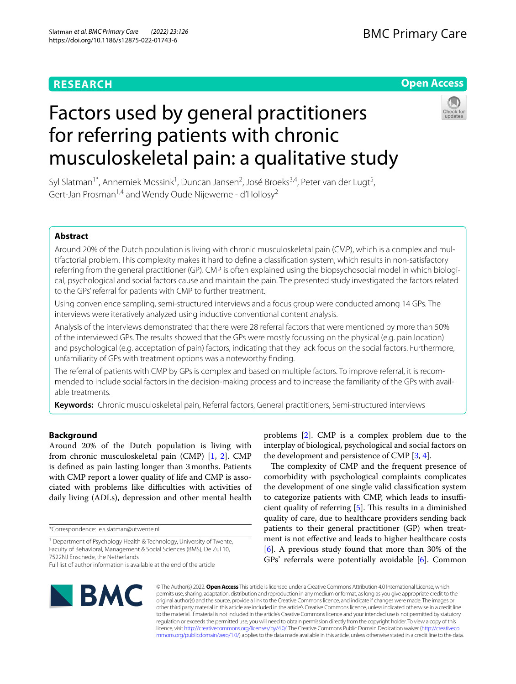# **RESEARCH**

## **Open Access**

# Factors used by general practitioners for referring patients with chronic musculoskeletal pain: a qualitative study



Syl Slatman<sup>1\*</sup>, Annemiek Mossink<sup>1</sup>, Duncan Jansen<sup>2</sup>, José Broeks<sup>3,4</sup>, Peter van der Lugt<sup>5</sup>, Gert-Jan Prosman<sup>1,4</sup> and Wendy Oude Nijeweme - d'Hollosy<sup>2</sup>

### **Abstract**

Around 20% of the Dutch population is living with chronic musculoskeletal pain (CMP), which is a complex and multifactorial problem. This complexity makes it hard to defne a classifcation system, which results in non-satisfactory referring from the general practitioner (GP). CMP is often explained using the biopsychosocial model in which biological, psychological and social factors cause and maintain the pain. The presented study investigated the factors related to the GPs' referral for patients with CMP to further treatment.

Using convenience sampling, semi-structured interviews and a focus group were conducted among 14 GPs. The interviews were iteratively analyzed using inductive conventional content analysis.

Analysis of the interviews demonstrated that there were 28 referral factors that were mentioned by more than 50% of the interviewed GPs. The results showed that the GPs were mostly focussing on the physical (e.g. pain location) and psychological (e.g. acceptation of pain) factors, indicating that they lack focus on the social factors. Furthermore, unfamiliarity of GPs with treatment options was a noteworthy fnding.

The referral of patients with CMP by GPs is complex and based on multiple factors. To improve referral, it is recommended to include social factors in the decision-making process and to increase the familiarity of the GPs with available treatments.

**Keywords:** Chronic musculoskeletal pain, Referral factors, General practitioners, Semi-structured interviews

#### **Background**

Around 20% of the Dutch population is living with from chronic musculoskeletal pain (CMP) [\[1](#page-10-0), [2](#page-10-1)]. CMP is defned as pain lasting longer than 3months. Patients with CMP report a lower quality of life and CMP is associated with problems like difficulties with activities of daily living (ADLs), depression and other mental health

\*Correspondence: e.s.slatman@utwente.nl

problems [\[2](#page-10-1)]. CMP is a complex problem due to the interplay of biological, psychological and social factors on the development and persistence of CMP [\[3](#page-10-2), [4\]](#page-10-3).

The complexity of CMP and the frequent presence of comorbidity with psychological complaints complicates the development of one single valid classifcation system to categorize patients with CMP, which leads to insufficient quality of referring  $[5]$  $[5]$ . This results in a diminished quality of care, due to healthcare providers sending back patients to their general practitioner (GP) when treatment is not efective and leads to higher healthcare costs [[6\]](#page-10-5). A previous study found that more than 30% of the GPs' referrals were potentially avoidable [[6\]](#page-10-5). Common



© The Author(s) 2022. **Open Access** This article is licensed under a Creative Commons Attribution 4.0 International License, which permits use, sharing, adaptation, distribution and reproduction in any medium or format, as long as you give appropriate credit to the original author(s) and the source, provide a link to the Creative Commons licence, and indicate if changes were made. The images or other third party material in this article are included in the article's Creative Commons licence, unless indicated otherwise in a credit line to the material. If material is not included in the article's Creative Commons licence and your intended use is not permitted by statutory regulation or exceeds the permitted use, you will need to obtain permission directly from the copyright holder. To view a copy of this licence, visit [http://creativecommons.org/licenses/by/4.0/.](http://creativecommons.org/licenses/by/4.0/) The Creative Commons Public Domain Dedication waiver ([http://creativeco](http://creativecommons.org/publicdomain/zero/1.0/) [mmons.org/publicdomain/zero/1.0/](http://creativecommons.org/publicdomain/zero/1.0/)) applies to the data made available in this article, unless otherwise stated in a credit line to the data.

<sup>&</sup>lt;sup>1</sup> Department of Psychology Health & Technology, University of Twente, Faculty of Behavioral, Management & Social Sciences (BMS), De Zul 10, 7522NJ Enschede, the Netherlands

Full list of author information is available at the end of the article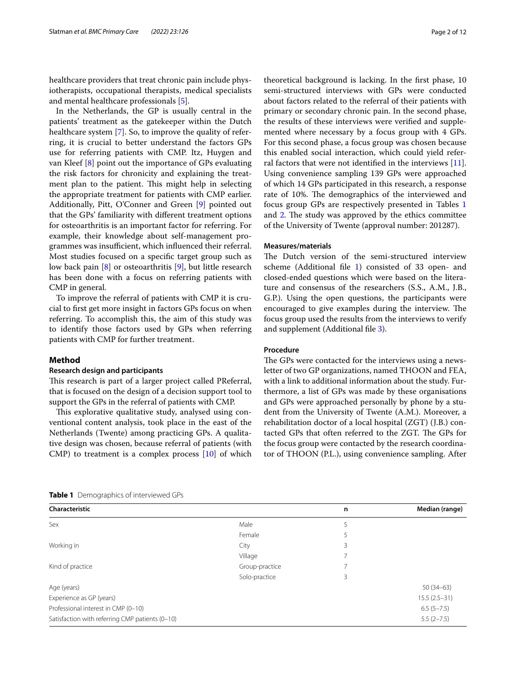healthcare providers that treat chronic pain include physiotherapists, occupational therapists, medical specialists and mental healthcare professionals [[5](#page-10-4)].

In the Netherlands, the GP is usually central in the patients' treatment as the gatekeeper within the Dutch healthcare system [[7\]](#page-10-6). So, to improve the quality of referring, it is crucial to better understand the factors GPs use for referring patients with CMP. Itz, Huygen and van Kleef [\[8\]](#page-10-7) point out the importance of GPs evaluating the risk factors for chronicity and explaining the treatment plan to the patient. This might help in selecting the appropriate treatment for patients with CMP earlier. Additionally, Pitt, O'Conner and Green [\[9](#page-10-8)] pointed out that the GPs' familiarity with diferent treatment options for osteoarthritis is an important factor for referring. For example, their knowledge about self-management programmes was insufficient, which influenced their referral. Most studies focused on a specifc target group such as low back pain [\[8](#page-10-7)] or osteoarthritis [\[9](#page-10-8)], but little research has been done with a focus on referring patients with CMP in general.

To improve the referral of patients with CMP it is crucial to frst get more insight in factors GPs focus on when referring. To accomplish this, the aim of this study was to identify those factors used by GPs when referring patients with CMP for further treatment.

#### **Method**

#### **Research design and participants**

This research is part of a larger project called PReferral, that is focused on the design of a decision support tool to support the GPs in the referral of patients with CMP.

This explorative qualitative study, analysed using conventional content analysis, took place in the east of the Netherlands (Twente) among practicing GPs. A qualitative design was chosen, because referral of patients (with CMP) to treatment is a complex process [[10\]](#page-10-9) of which theoretical background is lacking. In the frst phase, 10 semi-structured interviews with GPs were conducted about factors related to the referral of their patients with primary or secondary chronic pain. In the second phase, the results of these interviews were verifed and supplemented where necessary by a focus group with 4 GPs. For this second phase, a focus group was chosen because this enabled social interaction, which could yield referral factors that were not identifed in the interviews [\[11](#page-10-10)]. Using convenience sampling 139 GPs were approached of which 14 GPs participated in this research, a response rate of 10%. The demographics of the interviewed and focus group GPs are respectively presented in Tables [1](#page-1-0) and [2](#page-2-0). The study was approved by the ethics committee of the University of Twente (approval number: 201287).

#### **Measures/materials**

The Dutch version of the semi-structured interview scheme (Additional fle [1\)](#page-9-0) consisted of 33 open- and closed-ended questions which were based on the literature and consensus of the researchers (S.S., A.M., J.B., G.P.). Using the open questions, the participants were encouraged to give examples during the interview. The focus group used the results from the interviews to verify and supplement (Additional fle [3](#page-9-1)).

#### **Procedure**

The GPs were contacted for the interviews using a newsletter of two GP organizations, named THOON and FEA, with a link to additional information about the study. Furthermore, a list of GPs was made by these organisations and GPs were approached personally by phone by a student from the University of Twente (A.M.). Moreover, a rehabilitation doctor of a local hospital (ZGT) (J.B.) contacted GPs that often referred to the ZGT. The GPs for the focus group were contacted by the research coordinator of THOON (P.L.), using convenience sampling. After

<span id="page-1-0"></span>**Table 1** Demographics of interviewed GPs

| Characteristic                                  |                | n | Median (range) |
|-------------------------------------------------|----------------|---|----------------|
| Sex                                             | Male           | 5 |                |
|                                                 | Female         |   |                |
| Working in                                      | City           | 3 |                |
|                                                 | Village        |   |                |
| Kind of practice                                | Group-practice |   |                |
|                                                 | Solo-practice  | 3 |                |
| Age (years)                                     |                |   | $50(34-63)$    |
| Experience as GP (years)                        |                |   | $15.5(2.5-31)$ |
| Professional interest in CMP (0-10)             |                |   | $6.5(5-7.5)$   |
| Satisfaction with referring CMP patients (0-10) |                |   | $5.5(2-7.5)$   |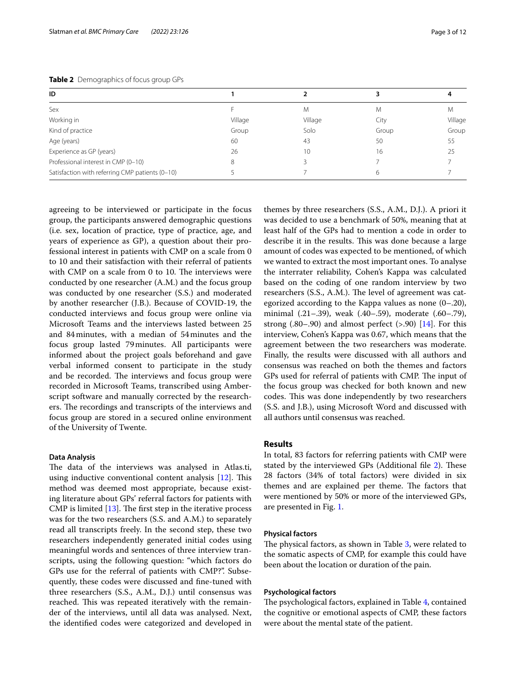<span id="page-2-0"></span>

|  | Table 2 Demographics of focus group GPs |  |  |
|--|-----------------------------------------|--|--|
|--|-----------------------------------------|--|--|

| ID                                              |         |         |       |         |
|-------------------------------------------------|---------|---------|-------|---------|
| Sex                                             |         | M       | M     | M       |
| Working in                                      | Village | Village | City  | Village |
| Kind of practice                                | Group   | Solo    | Group | Group   |
| Age (years)                                     | 60      | 43      | 50    | 55      |
| Experience as GP (years)                        | 26      | 10      | 16    | 25      |
| Professional interest in CMP (0-10)             |         |         |       |         |
| Satisfaction with referring CMP patients (0-10) |         |         | 6     |         |

agreeing to be interviewed or participate in the focus group, the participants answered demographic questions (i.e. sex, location of practice, type of practice, age, and years of experience as GP), a question about their professional interest in patients with CMP on a scale from 0 to 10 and their satisfaction with their referral of patients with CMP on a scale from 0 to 10. The interviews were conducted by one researcher (A.M.) and the focus group was conducted by one researcher (S.S.) and moderated by another researcher (J.B.). Because of COVID-19, the conducted interviews and focus group were online via Microsoft Teams and the interviews lasted between 25 and 84minutes, with a median of 54minutes and the focus group lasted 79minutes. All participants were informed about the project goals beforehand and gave verbal informed consent to participate in the study and be recorded. The interviews and focus group were recorded in Microsoft Teams, transcribed using Amberscript software and manually corrected by the researchers. The recordings and transcripts of the interviews and focus group are stored in a secured online environment of the University of Twente.

#### **Data Analysis**

The data of the interviews was analysed in Atlas.ti, using inductive conventional content analysis  $[12]$ . This method was deemed most appropriate, because existing literature about GPs' referral factors for patients with CMP is limited  $[13]$  $[13]$ . The first step in the iterative process was for the two researchers (S.S. and A.M.) to separately read all transcripts freely. In the second step, these two researchers independently generated initial codes using meaningful words and sentences of three interview transcripts, using the following question: "which factors do GPs use for the referral of patients with CMP?". Subsequently, these codes were discussed and fne-tuned with three researchers (S.S., A.M., D.J.) until consensus was reached. This was repeated iteratively with the remainder of the interviews, until all data was analysed. Next, the identifed codes were categorized and developed in

themes by three researchers (S.S., A.M., D.J.). A priori it was decided to use a benchmark of 50%, meaning that at least half of the GPs had to mention a code in order to describe it in the results. This was done because a large amount of codes was expected to be mentioned, of which we wanted to extract the most important ones. To analyse the interrater reliability, Cohen's Kappa was calculated based on the coding of one random interview by two researchers (S.S., A.M.). The level of agreement was categorized according to the Kappa values as none (0–.20), minimal (.21–.39), weak (.40–.59), moderate (.60–.79), strong  $(.80-.90)$  and almost perfect  $(>.90)$  [\[14](#page-10-13)]. For this interview, Cohen's Kappa was 0.67, which means that the agreement between the two researchers was moderate. Finally, the results were discussed with all authors and consensus was reached on both the themes and factors GPs used for referral of patients with CMP. The input of the focus group was checked for both known and new codes. This was done independently by two researchers (S.S. and J.B.), using Microsoft Word and discussed with all authors until consensus was reached.

#### **Results**

In total, 83 factors for referring patients with CMP were stated by the interviewed GPs (Additional file [2\)](#page-9-2). These 28 factors (34% of total factors) were divided in six themes and are explained per theme. The factors that were mentioned by 50% or more of the interviewed GPs, are presented in Fig. [1.](#page-3-0)

#### **Physical factors**

The physical factors, as shown in Table [3](#page-3-1), were related to the somatic aspects of CMP, for example this could have been about the location or duration of the pain.

#### **Psychological factors**

The psychological factors, explained in Table [4,](#page-4-0) contained the cognitive or emotional aspects of CMP, these factors were about the mental state of the patient.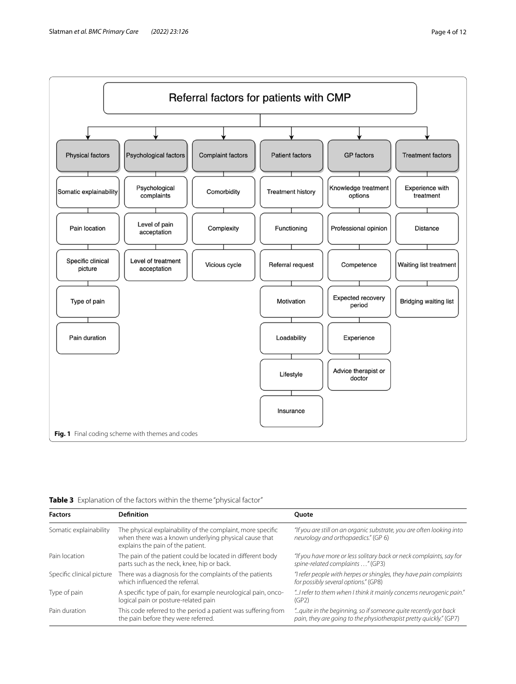

<span id="page-3-1"></span><span id="page-3-0"></span>

|  |  | Table 3 Explanation of the factors within the theme "physical factor" |  |  |  |
|--|--|-----------------------------------------------------------------------|--|--|--|
|--|--|-----------------------------------------------------------------------|--|--|--|

| <b>Factors</b>            | Definition                                                                                                                                                | Ouote                                                                                                                                |
|---------------------------|-----------------------------------------------------------------------------------------------------------------------------------------------------------|--------------------------------------------------------------------------------------------------------------------------------------|
| Somatic explainability    | The physical explainability of the complaint, more specific<br>when there was a known underlying physical cause that<br>explains the pain of the patient. | "If you are still on an organic substrate, you are often looking into<br>neurology and orthopaedics." (GP 6)                         |
| Pain location             | The pain of the patient could be located in different body<br>parts such as the neck, knee, hip or back.                                                  | "If you have more or less solitary back or neck complaints, say for<br>spine-related complaints " (GP3)                              |
| Specific clinical picture | There was a diagnosis for the complaints of the patients<br>which influenced the referral.                                                                | "I refer people with herpes or shingles, they have pain complaints<br>for possibly several options." (GP8)                           |
| Type of pain              | A specific type of pain, for example neurological pain, onco-<br>logical pain or posture-related pain                                                     | "I refer to them when I think it mainly concerns neurogenic pain."<br>(GP2)                                                          |
| Pain duration             | This code referred to the period a patient was suffering from<br>the pain before they were referred.                                                      | "quite in the beginning, so if someone quite recently got back<br>pain, they are going to the physiotherapist pretty quickly." (GP7) |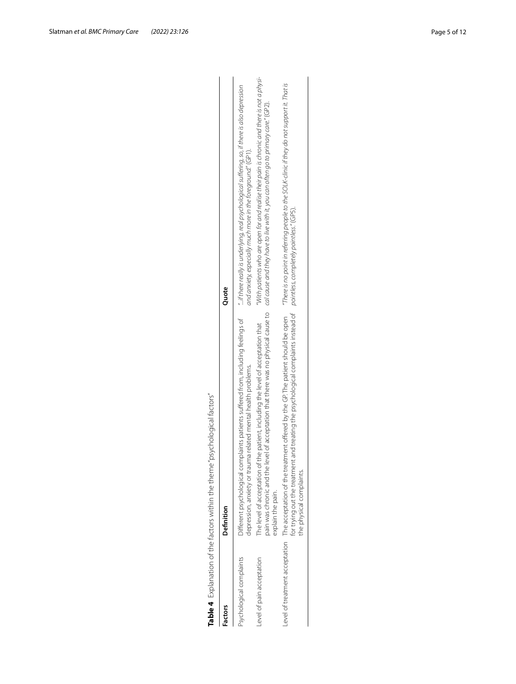| Table 4 Explanation of the factors within the theme | "psychological factors"                                                                                                                                                                                                                                                   |                                                                                                                                                               |
|-----------------------------------------------------|---------------------------------------------------------------------------------------------------------------------------------------------------------------------------------------------------------------------------------------------------------------------------|---------------------------------------------------------------------------------------------------------------------------------------------------------------|
| Factors                                             | Definition                                                                                                                                                                                                                                                                | Quote                                                                                                                                                         |
| Psychological complaints                            | )ifferent psychological complaints patients suffered from, including feelings of<br>depression, anxiety or trauma related mental health problems.                                                                                                                         | "if there really is underlying, real psychological suffering, so, if there is also depression<br>and anxiety, especially much more in the foreground." (GP1). |
| evel of pain acceptation                            | pain was chronic and the level of acceptation that there was no physical cause to cause and they have to live with it, you can often go to primary care." (GP2).<br>The level of acceptation of the patient, including the level of acceptation that<br>explain the pain. | "With patients who are open for and realise their pain is chronic and there is not a physi-                                                                   |
|                                                     | for trying out the treatment and treating the psychological complaints instead of pointless, completely pointless," (GPS).<br>evel of treatment acceptation The acceptation of the treatment offered by the GP. The patient should be open<br>the physical complaints.    | "There is no point in referring people to the SOLK-clinic if they do not support it. That is                                                                  |

<span id="page-4-0"></span>Table 4 Explanation of the factors within the theme 'psychological factors'<br>Factors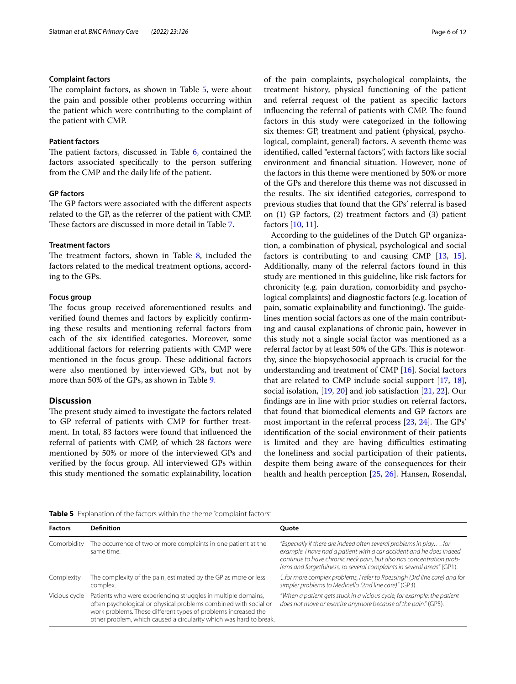#### **Complaint factors**

The complaint factors, as shown in Table [5](#page-5-0), were about the pain and possible other problems occurring within the patient which were contributing to the complaint of the patient with CMP.

#### **Patient factors**

The patient factors, discussed in Table [6](#page-6-0), contained the factors associated specifcally to the person sufering from the CMP and the daily life of the patient.

#### **GP factors**

The GP factors were associated with the different aspects related to the GP, as the referrer of the patient with CMP. These factors are discussed in more detail in Table [7](#page-7-0).

#### **Treatment factors**

The treatment factors, shown in Table  $8$ , included the factors related to the medical treatment options, according to the GPs.

#### **Focus group**

The focus group received aforementioned results and verifed found themes and factors by explicitly confrming these results and mentioning referral factors from each of the six identifed categories. Moreover, some additional factors for referring patients with CMP were mentioned in the focus group. These additional factors were also mentioned by interviewed GPs, but not by more than 50% of the GPs, as shown in Table [9.](#page-9-3)

#### **Discussion**

The present study aimed to investigate the factors related to GP referral of patients with CMP for further treatment. In total, 83 factors were found that infuenced the referral of patients with CMP, of which 28 factors were mentioned by 50% or more of the interviewed GPs and verifed by the focus group. All interviewed GPs within this study mentioned the somatic explainability, location of the pain complaints, psychological complaints, the treatment history, physical functioning of the patient and referral request of the patient as specifc factors influencing the referral of patients with CMP. The found factors in this study were categorized in the following six themes: GP, treatment and patient (physical, psychological, complaint, general) factors. A seventh theme was identifed, called "external factors", with factors like social environment and fnancial situation. However, none of the factors in this theme were mentioned by 50% or more of the GPs and therefore this theme was not discussed in the results. The six identified categories, correspond to previous studies that found that the GPs' referral is based on (1) GP factors, (2) treatment factors and (3) patient factors [\[10,](#page-10-9) [11](#page-10-10)].

According to the guidelines of the Dutch GP organization, a combination of physical, psychological and social factors is contributing to and causing CMP [[13,](#page-10-12) [15](#page-10-14)]. Additionally, many of the referral factors found in this study are mentioned in this guideline, like risk factors for chronicity (e.g. pain duration, comorbidity and psychological complaints) and diagnostic factors (e.g. location of pain, somatic explainability and functioning). The guidelines mention social factors as one of the main contributing and causal explanations of chronic pain, however in this study not a single social factor was mentioned as a referral factor by at least 50% of the GPs. This is noteworthy, since the biopsychosocial approach is crucial for the understanding and treatment of CMP [[16](#page-10-15)]. Social factors that are related to CMP include social support [[17,](#page-10-16) [18](#page-10-17)], social isolation, [[19,](#page-10-18) [20](#page-10-19)] and job satisfaction [\[21](#page-10-20), [22\]](#page-10-21). Our fndings are in line with prior studies on referral factors, that found that biomedical elements and GP factors are most important in the referral process  $[23, 24]$  $[23, 24]$  $[23, 24]$  $[23, 24]$ . The GPs' identifcation of the social environment of their patients is limited and they are having difficulties estimating the loneliness and social participation of their patients, despite them being aware of the consequences for their health and health perception [[25,](#page-11-0) [26](#page-11-1)]. Hansen, Rosendal,

<span id="page-5-0"></span>**Table 5** Explanation of the factors within the theme "complaint factors"

| <b>Factors</b> | <b>Definition</b>                                                                                                                                                                                                                                                         | <b>Ouote</b>                                                                                                                                                                                                                                                                                 |
|----------------|---------------------------------------------------------------------------------------------------------------------------------------------------------------------------------------------------------------------------------------------------------------------------|----------------------------------------------------------------------------------------------------------------------------------------------------------------------------------------------------------------------------------------------------------------------------------------------|
| Comorbidity    | The occurrence of two or more complaints in one patient at the<br>same time.                                                                                                                                                                                              | "Especially if there are indeed often several problems in play for<br>example. I have had a patient with a car accident and he does indeed<br>continue to have chronic neck pain, but also has concentration prob-<br>lems and forgetfulness, so several complaints in several areas" (GP1). |
| Complexity     | The complexity of the pain, estimated by the GP as more or less<br>complex.                                                                                                                                                                                               | " for more complex problems, I refer to Roessingh (3rd line care) and for<br>simpler problems to Medinello (2nd line care)" (GP3).                                                                                                                                                           |
| Vicious cycle  | Patients who were experiencing struggles in multiple domains,<br>often psychological or physical problems combined with social or<br>work problems. These different types of problems increased the<br>other problem, which caused a circularity which was hard to break. | "When a patient gets stuck in a vicious cycle, for example: the patient<br>does not move or exercise anymore because of the pain." (GP5).                                                                                                                                                    |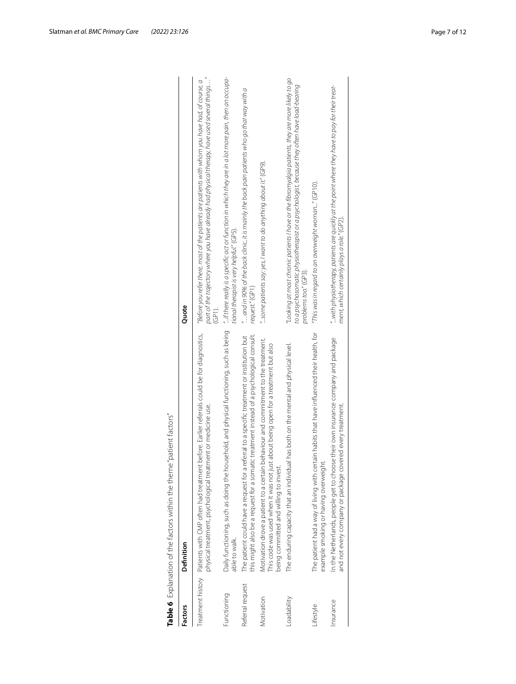| <b>Factors</b>   | Definition                                                                                                                                                                                                        | Quote                                                                                                                                                                                                                    |
|------------------|-------------------------------------------------------------------------------------------------------------------------------------------------------------------------------------------------------------------|--------------------------------------------------------------------------------------------------------------------------------------------------------------------------------------------------------------------------|
|                  | Treatment history Patients with CMP often had treatment before. Earlier referrals could be for diagnostics,<br>physical treatment, psychological treatment or medicine use.                                       | part of the trajectory where you have already had physical therapy, have used several things"<br>"Before you refer there, most of the patients are patients with whom you have had, of course, a<br>$\widehat{G}$ P1).   |
| Functioning      | Daily functioning, such as doing the household, and physical functioning, such as being<br>able to walk.                                                                                                          | "if there really is a specific act or function in which they are in a lot more pain, then an occupa-<br>tional therapist is very helpful." (GP5).                                                                        |
| Referral request | this might also be a request for a somatic treatment instead of a psychological consult.<br>The patient could have a request for a referral to a specific treatment or institution but                            | $\,^{\prime\prime}$ and in 90% of the back clinic, it is mainly the back pain patients who go that way with a<br>request." (GP1)                                                                                         |
| Motivation       | Motivation drove a patient to a certain behaviour and commitment to the treatment.<br>This code was used when it was not just about being open for a treatment but also<br>being committed and willing to invest. | "some patients say: yes, I want to do anything about it." (GP9).                                                                                                                                                         |
| Loadability      | The enduring capacity that an individual has both on the mental and physical level.                                                                                                                               | "Looking at most chronic patients I have or the fibromyalgia patients, they are more likely to go<br>to a psychosomatic physiotherapist or a psychologist, because they often have load-bearing<br>problems too." (GP3). |
| Lifestyle        | The patient had a way of living with certain habits that have influenced their health, for<br>example smoking or having overweight.                                                                               | "This was in regard to an overweight woman" (GP10).                                                                                                                                                                      |
| hsurance         | In the Netherlands, people get to choose their own insurance company and package<br>and not every company or package covered every treatment.                                                                     | with physiotherapy, patients are quickly at the point where they have to pay for their treat-<br>ment, which certainly plays a role." (GP2).                                                                             |

<span id="page-6-0"></span>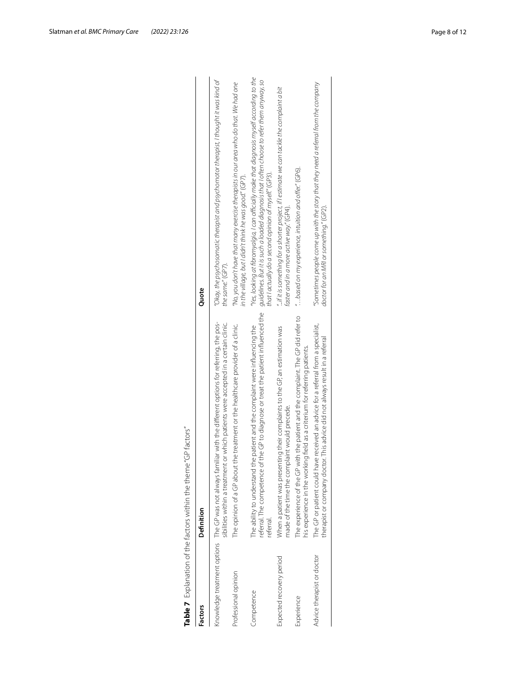| <b>Factors</b>             | Definition                                                                                                                                                                                          | Quote                                                                                                                                                                                                                                               |
|----------------------------|-----------------------------------------------------------------------------------------------------------------------------------------------------------------------------------------------------|-----------------------------------------------------------------------------------------------------------------------------------------------------------------------------------------------------------------------------------------------------|
|                            | Knowledge treatment options The GP was not always familiar with the different options for referring, the pos-<br>sibilities within a treatment or which patients were accepted in a certain clinic. | "Okay, the psychosomatic therapist and psychomotor therapist, I thought it was kind of<br>the same." (GP7).                                                                                                                                         |
| Professional opinion       | The opinion of a GP about the treatment or the healthcare provider of a clinic.                                                                                                                     | "No, you don't have that many exercise therapists in our area who do that. We had one<br>in the village, but I didn't think he was good." (GP7).                                                                                                    |
| Competence                 | referral. The competence of the GP to diagnose or treat the patient influenced the<br>The ability to understand the patient and the complaint were influencing the<br>referral.                     | "Yes, looking at fibromyalgia, I can officially make that diagnosis myself according to the<br>guidelines. But it is such a loaded diagnosis that l often choose to refer them anyway, so<br>that I actually do a second opinion of myself." (GP3). |
| Expected recovery period   | When a patient was presenting their complaints to the GP, an estimation was<br>made of the time the complaint would precede.                                                                        | "if it is something for a shorter project, if I estimate we can tackle the complaint a bit<br>faster and in a more active way." (GP4).                                                                                                              |
| Experience                 | The experience of the GP with the patient and the complaint. The GP did refer to<br>his experience in the working field as a criterium for referring patients.                                      | " based on my experience, intuition and offer." (GP6).                                                                                                                                                                                              |
| Advice therapist or doctor | The GP or patient could have received an advice for a referral from a specialist,<br>therapist or company doctor. This advice did not always result in a referral                                   | "Sometimes people come up with the story that they need a referral from the company<br>doctor for an MRI or something." (GP2).                                                                                                                      |

<span id="page-7-0"></span>

| J<br>j<br>l<br>j                                |
|-------------------------------------------------|
| J<br>$\frac{1}{2}$<br>1                         |
| Ç<br>l                                          |
| $\ddot{ }$<br>J<br>J<br>۱<br>$\frac{1}{2}$<br>¢ |
| $-2$<br>١<br>J<br>5<br>5<br>D                   |
| I<br>í                                          |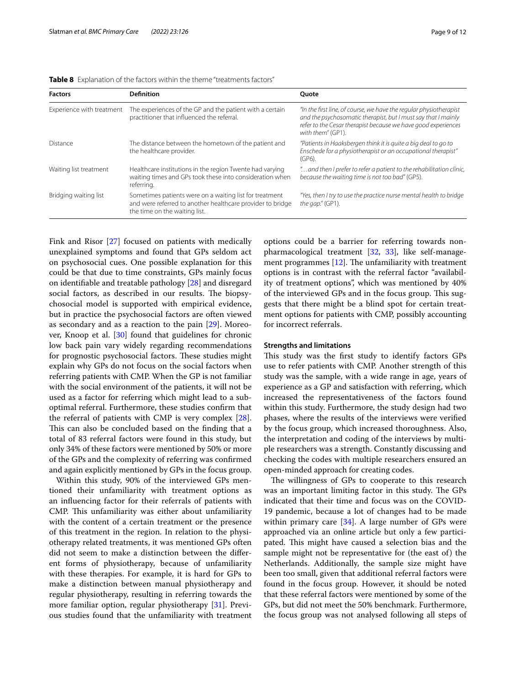| <b>Factors</b>            | <b>Definition</b>                                                                                                                                      | <b>Ouote</b>                                                                                                                                                                                                              |
|---------------------------|--------------------------------------------------------------------------------------------------------------------------------------------------------|---------------------------------------------------------------------------------------------------------------------------------------------------------------------------------------------------------------------------|
| Experience with treatment | The experiences of the GP and the patient with a certain<br>practitioner that influenced the referral.                                                 | "In the first line, of course, we have the regular physiotherapist<br>and the psychosomatic therapist, but I must say that I mainly<br>refer to the Cesar therapist because we have good experiences<br>with them" (GP1). |
| Distance                  | The distance between the hometown of the patient and<br>the healthcare provider.                                                                       | "Patients in Haaksbergen think it is guite a big deal to go to<br>Enschede for a physiotherapist or an occupational therapist"<br>$(GP6)$ .                                                                               |
| Waiting list treatment    | Healthcare institutions in the region Twente had varying<br>waiting times and GPs took these into consideration when<br>referring.                     | " and then I prefer to refer a patient to the rehabilitation clinic,<br>because the waiting time is not too bad" (GP5).                                                                                                   |
| Bridging waiting list     | Sometimes patients were on a waiting list for treatment<br>and were referred to another healthcare provider to bridge<br>the time on the waiting list. | "Yes, then I try to use the practice nurse mental health to bridge<br>the gap." (GP1).                                                                                                                                    |

<span id="page-8-0"></span>**Table 8** Explanation of the factors within the theme "treatments factors"

unexplained symptoms and found that GPs seldom act on psychosocial cues. One possible explanation for this could be that due to time constraints, GPs mainly focus on identifable and treatable pathology [\[28](#page-11-3)] and disregard social factors, as described in our results. The biopsychosocial model is supported with empirical evidence, but in practice the psychosocial factors are often viewed as secondary and as a reaction to the pain [[29\]](#page-11-4). Moreover, Knoop et al. [\[30\]](#page-11-5) found that guidelines for chronic low back pain vary widely regarding recommendations for prognostic psychosocial factors. These studies might explain why GPs do not focus on the social factors when referring patients with CMP. When the GP is not familiar with the social environment of the patients, it will not be used as a factor for referring which might lead to a suboptimal referral. Furthermore, these studies confrm that the referral of patients with CMP is very complex [\[28](#page-11-3)]. This can also be concluded based on the finding that a total of 83 referral factors were found in this study, but only 34% of these factors were mentioned by 50% or more of the GPs and the complexity of referring was confrmed and again explicitly mentioned by GPs in the focus group.

Fink and Risor [\[27\]](#page-11-2) focused on patients with medically

Within this study, 90% of the interviewed GPs mentioned their unfamiliarity with treatment options as an infuencing factor for their referrals of patients with CMP. This unfamiliarity was either about unfamiliarity with the content of a certain treatment or the presence of this treatment in the region. In relation to the physiotherapy related treatments, it was mentioned GPs often did not seem to make a distinction between the diferent forms of physiotherapy, because of unfamiliarity with these therapies. For example, it is hard for GPs to make a distinction between manual physiotherapy and regular physiotherapy, resulting in referring towards the more familiar option, regular physiotherapy [[31\]](#page-11-6). Previous studies found that the unfamiliarity with treatment options could be a barrier for referring towards nonpharmacological treatment [\[32](#page-11-7), [33\]](#page-11-8), like self-management programmes  $[12]$  $[12]$ . The unfamiliarity with treatment options is in contrast with the referral factor "availability of treatment options", which was mentioned by 40% of the interviewed GPs and in the focus group. This suggests that there might be a blind spot for certain treatment options for patients with CMP, possibly accounting for incorrect referrals.

#### **Strengths and limitations**

This study was the first study to identify factors GPs use to refer patients with CMP. Another strength of this study was the sample, with a wide range in age, years of experience as a GP and satisfaction with referring, which increased the representativeness of the factors found within this study. Furthermore, the study design had two phases, where the results of the interviews were verifed by the focus group, which increased thoroughness. Also, the interpretation and coding of the interviews by multiple researchers was a strength. Constantly discussing and checking the codes with multiple researchers ensured an open-minded approach for creating codes.

The willingness of GPs to cooperate to this research was an important limiting factor in this study. The GPs indicated that their time and focus was on the COVID-19 pandemic, because a lot of changes had to be made within primary care  $[34]$  $[34]$ . A large number of GPs were approached via an online article but only a few participated. This might have caused a selection bias and the sample might not be representative for (the east of) the Netherlands. Additionally, the sample size might have been too small, given that additional referral factors were found in the focus group. However, it should be noted that these referral factors were mentioned by some of the GPs, but did not meet the 50% benchmark. Furthermore, the focus group was not analysed following all steps of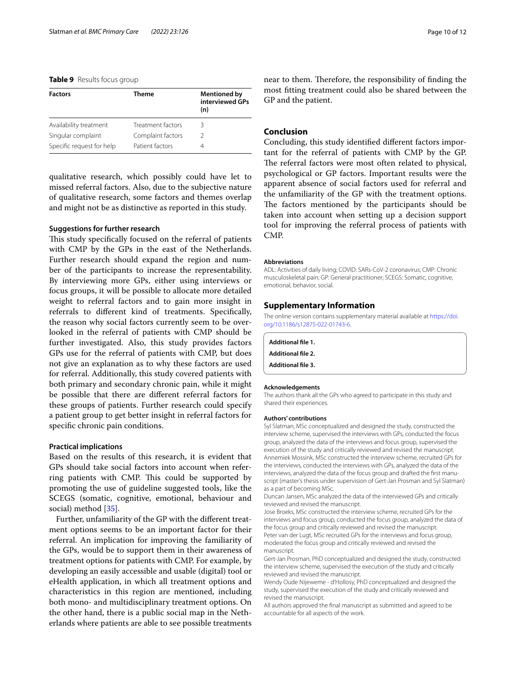#### <span id="page-9-3"></span>**Table 9** Results focus group

| <b>Factors</b>            | <b>Theme</b>      | <b>Mentioned by</b><br>interviewed GPs<br>(n) |
|---------------------------|-------------------|-----------------------------------------------|
| Availability treatment    | Treatment factors | Β                                             |
| Singular complaint        | Complaint factors | 2                                             |
| Specific request for help | Patient factors   | 4                                             |

qualitative research, which possibly could have let to missed referral factors. Also, due to the subjective nature of qualitative research, some factors and themes overlap and might not be as distinctive as reported in this study.

#### **Suggestions for further research**

This study specifically focused on the referral of patients with CMP by the GPs in the east of the Netherlands. Further research should expand the region and number of the participants to increase the representability. By interviewing more GPs, either using interviews or focus groups, it will be possible to allocate more detailed weight to referral factors and to gain more insight in referrals to diferent kind of treatments. Specifcally, the reason why social factors currently seem to be overlooked in the referral of patients with CMP should be further investigated. Also, this study provides factors GPs use for the referral of patients with CMP, but does not give an explanation as to why these factors are used for referral. Additionally, this study covered patients with both primary and secondary chronic pain, while it might be possible that there are diferent referral factors for these groups of patients. Further research could specify a patient group to get better insight in referral factors for specifc chronic pain conditions.

#### **Practical implications**

Based on the results of this research, it is evident that GPs should take social factors into account when referring patients with CMP. This could be supported by promoting the use of guideline suggested tools, like the SCEGS (somatic, cognitive, emotional, behaviour and social) method [[35\]](#page-11-10).

Further, unfamiliarity of the GP with the diferent treatment options seems to be an important factor for their referral. An implication for improving the familiarity of the GPs, would be to support them in their awareness of treatment options for patients with CMP. For example, by developing an easily accessible and usable (digital) tool or eHealth application, in which all treatment options and characteristics in this region are mentioned, including both mono- and multidisciplinary treatment options. On the other hand, there is a public social map in the Netherlands where patients are able to see possible treatments

near to them. Therefore, the responsibility of finding the most ftting treatment could also be shared between the GP and the patient.

#### **Conclusion**

Concluding, this study identifed diferent factors important for the referral of patients with CMP by the GP. The referral factors were most often related to physical, psychological or GP factors. Important results were the apparent absence of social factors used for referral and the unfamiliarity of the GP with the treatment options. The factors mentioned by the participants should be taken into account when setting up a decision support tool for improving the referral process of patients with CMP.

#### **Abbreviations**

ADL: Activities of daily living; COVID: SARs-CoV-2 coronavirus; CMP: Chronic musculoskeletal pain; GP: General practitioner; SCEGS: Somatic, cognitive, emotional, behavior, social.

#### **Supplementary Information**

The online version contains supplementary material available at [https://doi.](https://doi.org/10.1186/s12875-022-01743-6) [org/10.1186/s12875-022-01743-6](https://doi.org/10.1186/s12875-022-01743-6).

<span id="page-9-2"></span><span id="page-9-1"></span><span id="page-9-0"></span>

| Additional file 1. |  |
|--------------------|--|
| Additional file 2. |  |

**Additional fle 3.**

#### **Acknowledgements**

The authors thank all the GPs who agreed to participate in this study and shared their experiences.

#### **Authors' contributions**

Syl Slatman, MSc conceptualized and designed the study, constructed the interview scheme, supervised the interviews with GPs, conducted the focus group, analyzed the data of the interviews and focus group, supervised the execution of the study and critically reviewed and revised the manuscript. Annemiek Mossink, MSc constructed the interview scheme, recruited GPs for the interviews, conducted the interviews with GPs, analyzed the data of the interviews, analyzed the data of the focus group and drafted the first manuscript (master's thesis under supervision of Gert-Jan Prosman and Syl Slatman) as a part of becoming MSc.

Duncan Jansen, MSc analyzed the data of the interviewed GPs and critically reviewed and revised the manuscript.

Jose Broeks, MSc constructed the interview scheme, recruited GPs for the interviews and focus group, conducted the focus group, analyzed the data of the focus group and critically reviewed and revised the manuscript. Peter van der Lugt, MSc recruited GPs for the interviews and focus group, moderated the focus group and critically reviewed and revised the manuscript.

Gert-Jan Prosman, PhD conceptualized and designed the study, constructed the interview scheme, supervised the execution of the study and critically reviewed and revised the manuscript.

Wendy Oude Nijeweme - d'Hollosy, PhD conceptualized and designed the study, supervised the execution of the study and critically reviewed and revised the manuscript.

All authors approved the fnal manuscript as submitted and agreed to be accountable for all aspects of the work.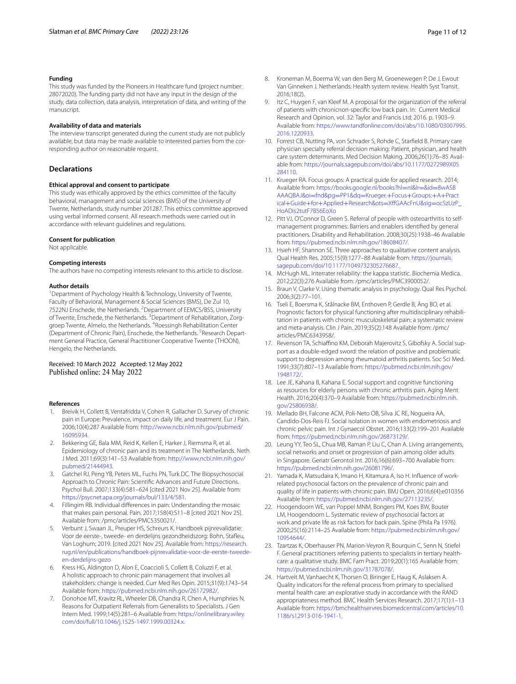#### **Funding**

This study was funded by the Pioneers in Healthcare fund (project number: 28072020). The funding party did not have any input in the design of the study, data collection, data analysis, interpretation of data, and writing of the manuscript.

#### **Availability of data and materials**

The interview transcript generated during the current study are not publicly available, but data may be made available to interested parties from the corresponding author on reasonable request.

#### **Declarations**

#### **Ethical approval and consent to participate**

This study was ethically approved by the ethics committee of the faculty behavioral, management and social sciences (BMS) of the University of Twente, Netherlands, study number 201287. This ethics committee approved using verbal informed consent. All research methods were carried out in accordance with relevant guidelines and regulations.

#### **Consent for publication**

Not applicable.

#### **Competing interests**

The authors have no competing interests relevant to this article to disclose.

#### **Author details**

<sup>1</sup> Department of Psychology Health & Technology, University of Twente, Faculty of Behavioral, Management & Social Sciences (BMS), De Zul 10, 7522NJ Enschede, the Netherlands. <sup>2</sup> Department of EEMCS/BSS, University of Twente, Enschede, the Netherlands. <sup>3</sup> Department of Rehabilitation, Zorggroep Twente, Almelo, the Netherlands. <sup>4</sup>Roessingh Rehabilitation Center (Department of Chronic Pain), Enschede, the Netherlands. <sup>5</sup>Research Department General Practice, General Practitioner Cooperative Twente (THOON), Hengelo, the Netherlands.

# Received: 10 March 2022 Accepted: 12 May 2022 Published online: 24 May 2022

#### **References**

- <span id="page-10-0"></span>1. Breivik H, Collett B, Ventafridda V, Cohen R, Gallacher D. Survey of chronic pain in Europe: Prevalence, impact on daily life, and treatment. Eur J Pain. 2006;10(4):287 Available from: [http://www.ncbi.nlm.nih.gov/pubmed/](http://www.ncbi.nlm.nih.gov/pubmed/16095934) [16095934.](http://www.ncbi.nlm.nih.gov/pubmed/16095934)
- <span id="page-10-1"></span>2. Bekkering GE, Bala MM, Reid K, Kellen E, Harker J, Riemsma R, et al. Epidemiology of chronic pain and its treatment in The Netherlands. Neth J Med. 2011;69(3):141–53 Available from: [http://www.ncbi.nlm.nih.gov/](http://www.ncbi.nlm.nih.gov/pubmed/21444943) [pubmed/21444943.](http://www.ncbi.nlm.nih.gov/pubmed/21444943)
- <span id="page-10-2"></span>3. Gatchel RJ, Peng YB, Peters ML, Fuchs PN, Turk DC. The Biopsychosocial Approach to Chronic Pain: Scientifc Advances and Future Directions. Psychol Bull. 2007;133(4):581–624 [cited 2021 Nov 25]. Available from: <https://psycnet.apa.org/journals/bul/133/4/581>.
- <span id="page-10-3"></span>4. Fillingim RB. Individual diferences in pain: Understanding the mosaic that makes pain personal. Pain. 2017;158(4):S11–8 [cited 2021 Nov 25]. Available from: /pmc/articles/PMC5350021/.
- <span id="page-10-4"></span>Verbunt J, Swaan JL, Preuper HS, Schreurs K. Handboek pijnrevalidatie: Voor de eerste-, tweede- en derdelijns gezondheidszorg: Bohn, Stafeu, Van Loghum; 2019. [cited 2021 Nov 25]. Available from: [https://research.](https://research.rug.nl/en/publications/handboek-pijnrevalidatie-voor-de-eerste-tweede-en-derdelijns-gezo) [rug.nl/en/publications/handboek-pijnrevalidatie-voor-de-eerste-tweede](https://research.rug.nl/en/publications/handboek-pijnrevalidatie-voor-de-eerste-tweede-en-derdelijns-gezo) [en-derdelijns-gezo](https://research.rug.nl/en/publications/handboek-pijnrevalidatie-voor-de-eerste-tweede-en-derdelijns-gezo)
- <span id="page-10-5"></span>6. Kress HG, Aldington D, Alon E, Coaccioli S, Collett B, Coluzzi F, et al. A holistic approach to chronic pain management that involves all stakeholders: change is needed. Curr Med Res Opin. 2015;31(9):1743–54 Available from: <https://pubmed.ncbi.nlm.nih.gov/26172982/>.
- <span id="page-10-6"></span>7. Donohoe MT, Kravitz RL, Wheeler DB, Chandra R, Chen A, Humphries N. Reasons for Outpatient Referrals from Generalists to Specialists. J Gen Intern Med. 1999;14(5):281–6 Available from: [https://onlinelibrary.wiley.](http://dx.doi.org/10.1046/j.1525-1497.1999.00324.x) [com/doi/full/10.1046/j.1525-1497.1999.00324.x](http://dx.doi.org/10.1046/j.1525-1497.1999.00324.x).
- <span id="page-10-7"></span>8. Kroneman M, Boerma W, van den Berg M, Groenewegen P, De J, Ewout Van Ginneken J. Netherlands: Health system review. Health Syst Transit. 2016;18(2).
- <span id="page-10-8"></span>9. Itz C, Huygen F, van Kleef M. A proposal for the organization of the referral of patients with chronicnon-specifc low back pain. In: Current Medical Research and Opinion, vol. 32: Taylor and Francis Ltd; 2016. p. 1903–9. Available from: [https://www.tandfonline.com/doi/abs/10.1080/03007995.](http://dx.doi.org/10.1080/03007995.2016.1220933) [2016.1220933](http://dx.doi.org/10.1080/03007995.2016.1220933).
- <span id="page-10-9"></span>10. Forrest CB, Nutting PA, von Schrader S, Rohde C, Starfeld B. Primary care physician specialty referral decision making: Patient, physician, and health care system determinants. Med Decision Making. 2006;26(1):76-85 Available from: [https://journals.sagepub.com/doi/abs/10.1177/0272989X05](http://dx.doi.org/10.1177/0272989X05284110) [284110.](http://dx.doi.org/10.1177/0272989X05284110)
- <span id="page-10-10"></span>11. Krueger RA. Focus groups: A practical guide for applied research. 2014; Available from: [https://books.google.nl/books?hl](https://books.google.nl/books?hl=nl&lr=&id=8wASBAAAQBAJ&oi=fnd&pg=PP1&dq=Krueger.+Focus+Groups:+A+Practical+Guide+for+Applied+Research&ots=XffGAAcFnU&sig=ocSzUzP_HoADis2tutF7B56EoXo)=nl&lr=&id=8wASB [AAAQBAJ&oi](https://books.google.nl/books?hl=nl&lr=&id=8wASBAAAQBAJ&oi=fnd&pg=PP1&dq=Krueger.+Focus+Groups:+A+Practical+Guide+for+Applied+Research&ots=XffGAAcFnU&sig=ocSzUzP_HoADis2tutF7B56EoXo)=fnd&pg=PP1&dq=Krueger.+Focus+Groups:+A+Pract ical+Guide+for+Applied+Research&ots=[XfGAAcFnU&sig](https://books.google.nl/books?hl=nl&lr=&id=8wASBAAAQBAJ&oi=fnd&pg=PP1&dq=Krueger.+Focus+Groups:+A+Practical+Guide+for+Applied+Research&ots=XffGAAcFnU&sig=ocSzUzP_HoADis2tutF7B56EoXo)=ocSzUzP\_ [HoADis2tutF7B56EoXo](https://books.google.nl/books?hl=nl&lr=&id=8wASBAAAQBAJ&oi=fnd&pg=PP1&dq=Krueger.+Focus+Groups:+A+Practical+Guide+for+Applied+Research&ots=XffGAAcFnU&sig=ocSzUzP_HoADis2tutF7B56EoXo)
- <span id="page-10-11"></span>12. Pitt VJ, O'Connor D, Green S. Referral of people with osteoarthritis to selfmanagement programmes: Barriers and enablers identifed by general practitioners. Disability and Rehabilitation. 2008;30(25):1938–46 Available from: [https://pubmed.ncbi.nlm.nih.gov/18608407/.](https://pubmed.ncbi.nlm.nih.gov/18608407/)
- <span id="page-10-12"></span>13. Hsieh HF, Shannon SE. Three approaches to qualitative content analysis. Qual Health Res. 2005;15(9):1277–88 Available from: [https://journals.](http://dx.doi.org/10.1177/1049732305276687) [sagepub.com/doi/10.1177/1049732305276687.](http://dx.doi.org/10.1177/1049732305276687)
- <span id="page-10-13"></span>14. McHugh ML. Interrater reliability: the kappa statistic. Biochemia Medica. 2012;22(3):276 Available from: /pmc/articles/PMC3900052/.
- <span id="page-10-14"></span>15. Braun V, Clarke V. Using thematic analysis in psychology. Qual Res Psychol. 2006;3(2):77–101.
- <span id="page-10-15"></span>16. Tseli E, Boersma K, Stålnacke BM, Enthoven P, Gerdle B, Äng BO, et al. Prognostic factors for physical functioning after multidisciplinary rehabilitation in patients with chronic musculoskeletal pain: a systematic review and meta-analysis. Clin J Pain. 2019;35(2):148 Available from: /pmc/ articles/PMC6343958/.
- <span id="page-10-16"></span>17. Revenson TA, Schiaffino KM, Deborah Majerovitz S, Gibofsky A. Social support as a double-edged sword: the relation of positive and problematic support to depression among rheumatoid arthritis patients. Soc Sci Med. 1991;33(7):807–13 Available from: [https://pubmed.ncbi.nlm.nih.gov/](https://pubmed.ncbi.nlm.nih.gov/1948172/) [1948172/.](https://pubmed.ncbi.nlm.nih.gov/1948172/)
- <span id="page-10-17"></span>18. Lee JE, Kahana B, Kahana E. Social support and cognitive functioning as resources for elderly persons with chronic arthritis pain. Aging Ment Health. 2016;20(4):370–9 Available from: [https://pubmed.ncbi.nlm.nih.](https://pubmed.ncbi.nlm.nih.gov/25806938/) [gov/25806938/.](https://pubmed.ncbi.nlm.nih.gov/25806938/)
- <span id="page-10-18"></span>19. Mellado BH, Falcone ACM, Poli-Neto OB, Silva JC RE, Nogueira AA, Candido-Dos-Reis FJ. Social isolation in women with endometriosis and chronic pelvic pain. Int J Gynaecol Obstet. 2016;133(2):199–201 Available from: [https://pubmed.ncbi.nlm.nih.gov/26873129/.](https://pubmed.ncbi.nlm.nih.gov/26873129/)
- <span id="page-10-19"></span>20. Leung YY, Teo SL, Chua MB, Raman P, Liu C, Chan A. Living arrangements, social networks and onset or progression of pain among older adults in Singapore. Geriatr Gerontol Int. 2016;16(6):693–700 Available from: [https://pubmed.ncbi.nlm.nih.gov/26081796/.](https://pubmed.ncbi.nlm.nih.gov/26081796/)
- <span id="page-10-20"></span>21. Yamada K, Matsudaira K, Imano H, Kitamura A, Iso H. Infuence of workrelated psychosocial factors on the prevalence of chronic pain and quality of life in patients with chronic pain. BMJ Open. 2016;6(4):e010356 Available from: <https://pubmed.ncbi.nlm.nih.gov/27113235/>.
- <span id="page-10-21"></span>22. Hoogendoorn WE, van Poppel MNM, Bongers PM, Koes BW, Bouter LM, Hoogendoorn L. Systematic review of psychosocial factors at work and private life as risk factors for back pain. Spine (Phila Pa 1976). 2000;25(16):2114–25 Available from: [https://pubmed.ncbi.nlm.nih.gov/](https://pubmed.ncbi.nlm.nih.gov/10954644/) [10954644/.](https://pubmed.ncbi.nlm.nih.gov/10954644/)
- <span id="page-10-22"></span>23. Tzartzas K, Oberhauser PN, Marion-Veyron R, Bourquin C, Senn N, Stiefel F. General practitioners referring patients to specialists in tertiary healthcare: a qualitative study. BMC Fam Pract. 2019;20(1):165 Available from: [https://pubmed.ncbi.nlm.nih.gov/31787078/.](https://pubmed.ncbi.nlm.nih.gov/31787078/)
- <span id="page-10-23"></span>24. Hartveit M, Vanhaecht K, Thorsen O, Biringer E, Haug K, Aslaksen A. Quality indicators for the referral process from primary to specialised mental health care: an explorative study in accordance with the RAND appropriateness method. BMC Health Services Research. 2017;17(1):1–13 Available from: [https://bmchealthservres.biomedcentral.com/articles/10.](http://dx.doi.org/10.1186/s12913-016-1941-1) [1186/s12913-016-1941-1](http://dx.doi.org/10.1186/s12913-016-1941-1).